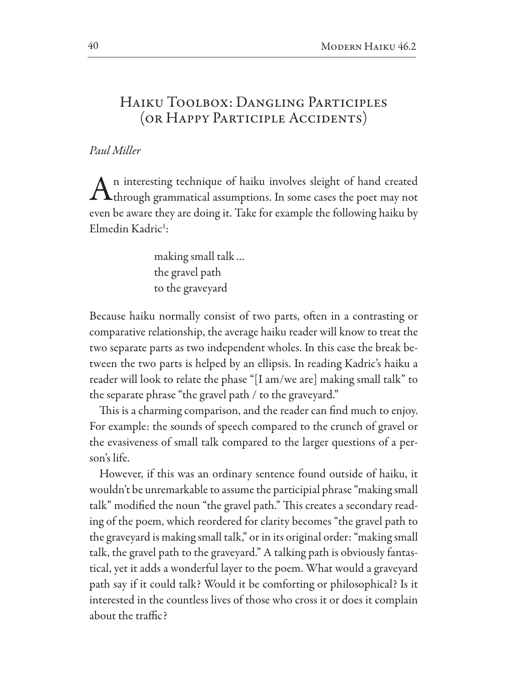## HAIKU TOOLBOX: DANGLING PARTICIPLES (OR HAPPY PARTICIPLE ACCIDENTS)

## Paul Miller

n interesting technique of haiku involves sleight of hand created  $\Lambda$  through grammatical assumptions. In some cases the poet may not even be aware they are doing it. Take for example the following haiku by Elmedin Kadric<sup>1</sup>:

> making small talk... the gravel path to the graveyard

Because haiku normally consist of two parts, often in a contrasting or comparative relationship, the average haiku reader will know to treat the two separate parts as two independent wholes. In this case the break between the two parts is helped by an ellipsis. In reading Kadric's haiku a reader will look to relate the phase "[I am/we are] making small talk" to the separate phrase "the gravel path / to the graveyard."

This is a charming comparison, and the reader can find much to enjoy. For example: the sounds of speech compared to the crunch of gravel or the evasiveness of small talk compared to the larger questions of a person's life.

However, if this was an ordinary sentence found outside of haiku, it wouldn't be unremarkable to assume the participial phrase "making small talk" modified the noun "the gravel path." This creates a secondary reading of the poem, which reordered for clarity becomes "the gravel path to the graveyard is making small talk," or in its original order: "making small talk, the gravel path to the graveyard." A talking path is obviously fantastical, yet it adds a wonderful layer to the poem. What would a graveyard path say if it could talk? Would it be comforting or philosophical? Is it interested in the countless lives of those who cross it or does it complain about the traffic?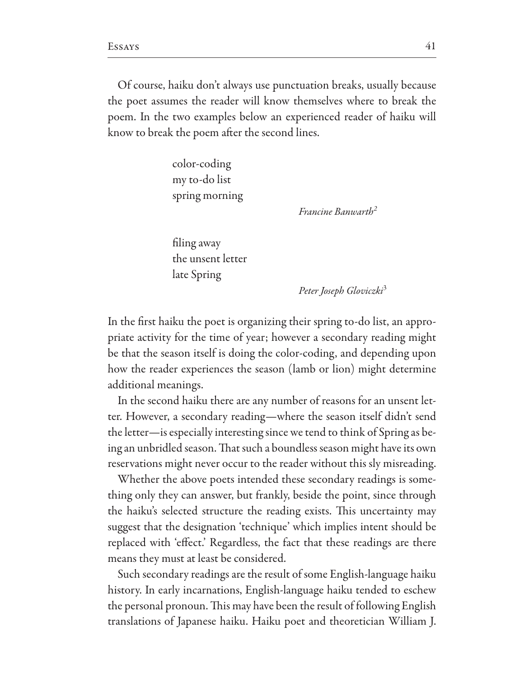Of course, haiku don't always use punctuation breaks, usually because the poet assumes the reader will know themselves where to break the poem. In the two examples below an experienced reader of haiku will know to break the poem after the second lines.

> color-coding my to-do list spring morning

> > Francine Banwarth<sup>2</sup>

filing away the unsent letter late Spring

Peter Joseph Gloviczki<sup>3</sup>

In the first haiku the poet is organizing their spring to-do list, an appropriate activity for the time of year; however a secondary reading might be that the season itself is doing the color-coding, and depending upon how the reader experiences the season (lamb or lion) might determine additional meanings.

In the second haiku there are any number of reasons for an unsent letter. However, a secondary reading—where the season itself didn't send the letter—is especially interesting since we tend to think of Spring as being an unbridled season. That such a boundless season might have its own reservations might never occur to the reader without this sly misreading.

Whether the above poets intended these secondary readings is something only they can answer, but frankly, beside the point, since through the haiku's selected structure the reading exists. This uncertainty may suggest that the designation 'technique' which implies intent should be replaced with 'effect.' Regardless, the fact that these readings are there means they must at least be considered.

Such secondary readings are the result of some English-language haiku history. In early incarnations, English-language haiku tended to eschew the personal pronoun. This may have been the result of following English translations of Japanese haiku. Haiku poet and theoretician William J.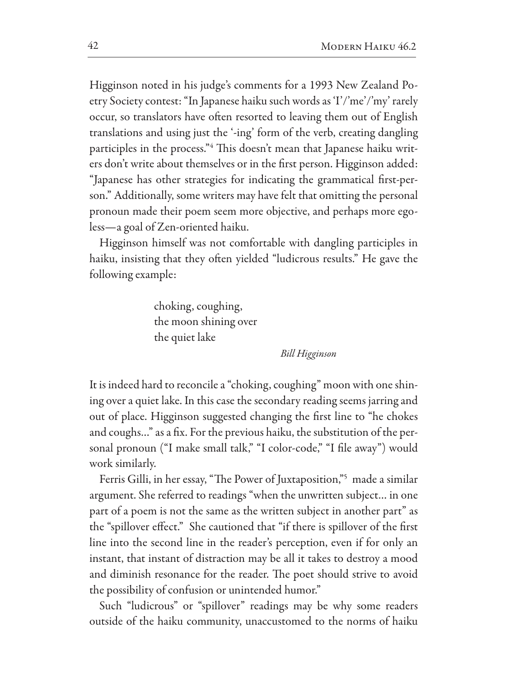Higginson noted in his judge's comments for a 1993 New Zealand Poetry Society contest: "In Japanese haiku such words as 'I'/'me'/'my' rarely occur, so translators have often resorted to leaving them out of English translations and using just the '-ing' form of the verb, creating dangling participles in the process."4 This doesn't mean that Japanese haiku writers don't write about themselves or in the first person. Higginson added: "Japanese has other strategies for indicating the grammatical first-person." Additionally, some writers may have felt that omitting the personal pronoun made their poem seem more objective, and perhaps more egoless-a goal of Zen-oriented haiku.

Higginson himself was not comfortable with dangling participles in haiku, insisting that they often yielded "ludicrous results." He gave the following example:

> choking, coughing, the moon shining over the quiet lake

> > **Bill Higginson**

It is indeed hard to reconcile a "choking, coughing" moon with one shining over a quiet lake. In this case the secondary reading seems jarring and out of place. Higginson suggested changing the first line to "he chokes" and coughs..." as a fix. For the previous haiku, the substitution of the personal pronoun ("I make small talk," "I color-code," "I file away") would work similarly.

Ferris Gilli, in her essay, "The Power of Juxtaposition,"<sup>5</sup> made a similar argument. She referred to readings "when the unwritten subject... in one part of a poem is not the same as the written subject in another part" as the "spillover effect." She cautioned that "if there is spillover of the first line into the second line in the reader's perception, even if for only an instant, that instant of distraction may be all it takes to destroy a mood and diminish resonance for the reader. The poet should strive to avoid the possibility of confusion or unintended humor."

Such "ludicrous" or "spillover" readings may be why some readers outside of the haiku community, unaccustomed to the norms of haiku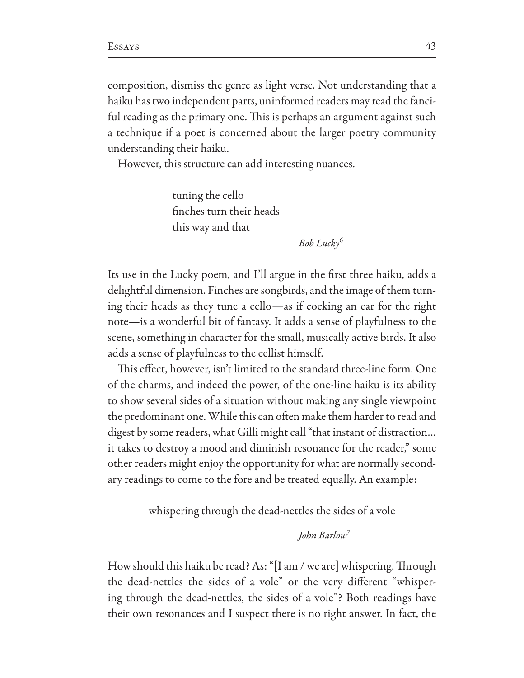composition, dismiss the genre as light verse. Not understanding that a haiku has two independent parts, uninformed readers may read the fanciful reading as the primary one. This is perhaps an argument against such a technique if a poet is concerned about the larger poetry community understanding their haiku.

However, this structure can add interesting nuances.

tuning the cello finches turn their heads this way and that

 $Bob$  Lucky<sup>6</sup>

Its use in the Lucky poem, and I'll argue in the first three haiku, adds a delightful dimension. Finches are songbirds, and the image of them turning their heads as they tune a cello—as if cocking an ear for the right note-is a wonderful bit of fantasy. It adds a sense of playfulness to the scene, something in character for the small, musically active birds. It also adds a sense of playfulness to the cellist himself.

This effect, however, isn't limited to the standard three-line form. One of the charms, and indeed the power, of the one-line haiku is its ability to show several sides of a situation without making any single viewpoint the predominant one. While this can often make them harder to read and digest by some readers, what Gilli might call "that instant of distraction... it takes to destroy a mood and diminish resonance for the reader," some other readers might enjoy the opportunity for what are normally secondary readings to come to the fore and be treated equally. An example:

whispering through the dead-nettles the sides of a vole

**John Barlow**<sup>7</sup>

How should this haiku be read? As: "[I am / we are] whispering. Through the dead-nettles the sides of a vole" or the very different "whispering through the dead-nettles, the sides of a vole"? Both readings have their own resonances and I suspect there is no right answer. In fact, the